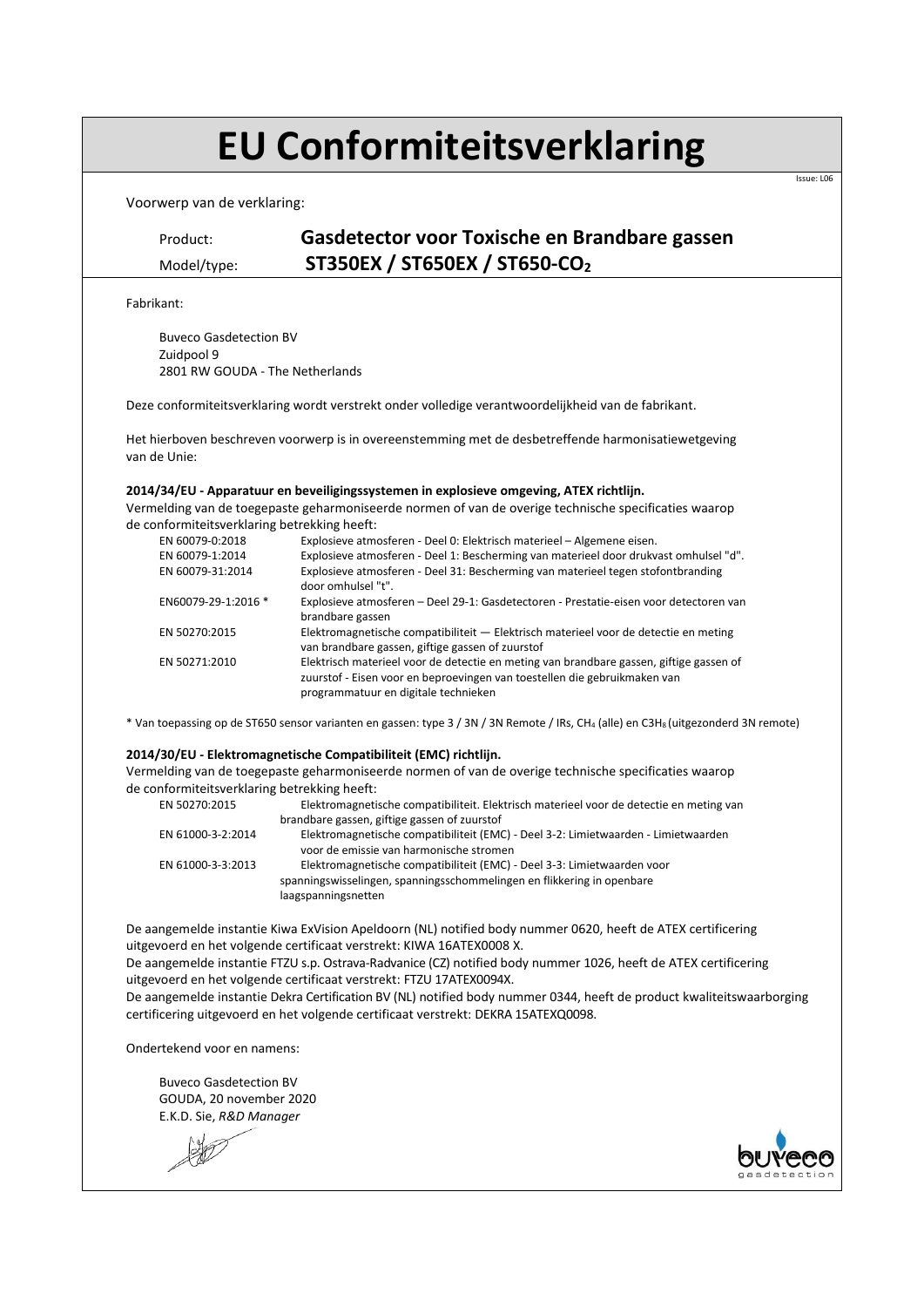# **EU Conformiteitsverklaring**

Voorwerp van de verklaring:

## Product: **Gasdetector voor Toxische en Brandbare gassen** Model/type: **ST350EX / ST650EX / ST650-CO<sup>2</sup>**

Fabrikant:

Buveco Gasdetection BV Zuidpool 9 2801 RW GOUDA - The Netherlands

Deze conformiteitsverklaring wordt verstrekt onder volledige verantwoordelijkheid van de fabrikant.

Het hierboven beschreven voorwerp is in overeenstemming met de desbetreffende harmonisatiewetgeving van de Unie:

### **2014/34/EU - Apparatuur en beveiligingssystemen in explosieve omgeving, ATEX richtlijn.**

Vermelding van de toegepaste geharmoniseerde normen of van de overige technische specificaties waarop de conformiteitsverklaring betrekking heeft:

| EN 60079-0:2018     | Explosieve atmosferen - Deel 0: Elektrisch materieel - Algemene eisen.                                                                                                                                       |
|---------------------|--------------------------------------------------------------------------------------------------------------------------------------------------------------------------------------------------------------|
| EN 60079-1:2014     | Explosieve atmosferen - Deel 1: Bescherming van materieel door drukvast omhulsel "d".                                                                                                                        |
| EN 60079-31:2014    | Explosieve atmosferen - Deel 31: Bescherming van materieel tegen stofontbranding<br>door omhulsel "t".                                                                                                       |
| EN60079-29-1:2016 * | Explosieve atmosferen - Deel 29-1: Gasdetectoren - Prestatie-eisen voor detectoren van<br>brandbare gassen                                                                                                   |
| EN 50270:2015       | Elektromagnetische compatibiliteit — Elektrisch materieel voor de detectie en meting<br>van brandbare gassen, giftige gassen of zuurstof                                                                     |
| EN 50271:2010       | Elektrisch materieel voor de detectie en meting van brandbare gassen, giftige gassen of<br>zuurstof - Eisen voor en beproevingen van toestellen die gebruikmaken van<br>programmatuur en digitale technieken |

\* Van toepassing op de ST650 sensor varianten en gassen: type 3 / 3N / 3N Remote / IRs, CH<sub>4</sub> (alle) en C3H<sub>8</sub> (uitgezonderd 3N remote)

### **2014/30/EU - Elektromagnetische Compatibiliteit (EMC) richtlijn.**

Vermelding van de toegepaste geharmoniseerde normen of van de overige technische specificaties waarop de conformiteitsverklaring betrekking heeft:

| EN 50270:2015     | Elektromagnetische compatibiliteit. Elektrisch materieel voor de detectie en meting van |
|-------------------|-----------------------------------------------------------------------------------------|
|                   | brandbare gassen, giftige gassen of zuurstof                                            |
| EN 61000-3-2:2014 | Elektromagnetische compatibiliteit (EMC) - Deel 3-2: Limietwaarden - Limietwaarden      |
|                   | voor de emissie van harmonische stromen                                                 |
| EN 61000-3-3:2013 | Elektromagnetische compatibiliteit (EMC) - Deel 3-3: Limietwaarden voor                 |
|                   | spanningswisselingen, spanningsschommelingen en flikkering in openbare                  |
|                   | laagspanningsnetten                                                                     |
|                   |                                                                                         |

De aangemelde instantie Kiwa ExVision Apeldoorn (NL) notified body nummer 0620, heeft de ATEX certificering uitgevoerd en het volgende certificaat verstrekt: KIWA 16ATEX0008 X.

De aangemelde instantie FTZU s.p. Ostrava-Radvanice (CZ) notified body nummer 1026, heeft de ATEX certificering uitgevoerd en het volgende certificaat verstrekt: FTZU 17ATEX0094X.

De aangemelde instantie Dekra Certification BV (NL) notified body nummer 0344, heeft de product kwaliteitswaarborging certificering uitgevoerd en het volgende certificaat verstrekt: DEKRA 15ATEXQ0098.

Ondertekend voor en namens:

 Buveco Gasdetection BV GOUDA, 20 november 2020 E.K.D. Sie, *R&D Manager*





Issue: L06